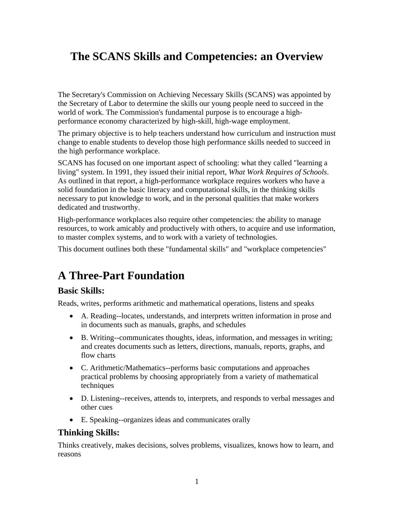# **The SCANS Skills and Competencies: an Overview**

The Secretary's Commission on Achieving Necessary Skills (SCANS) was appointed by the Secretary of Labor to determine the skills our young people need to succeed in the world of work. The Commission's fundamental purpose is to encourage a highperformance economy characterized by high-skill, high-wage employment.

The primary objective is to help teachers understand how curriculum and instruction must change to enable students to develop those high performance skills needed to succeed in the high performance workplace.

SCANS has focused on one important aspect of schooling: what they called "learning a living" system. In 1991, they issued their initial report, *What Work Requires of Schools*. As outlined in that report, a high-performance workplace requires workers who have a solid foundation in the basic literacy and computational skills, in the thinking skills necessary to put knowledge to work, and in the personal qualities that make workers dedicated and trustworthy.

High-performance workplaces also require other competencies: the ability to manage resources, to work amicably and productively with others, to acquire and use information, to master complex systems, and to work with a variety of technologies.

This document outlines both these "fundamental skills" and "workplace competencies"

## **A Three-Part Foundation**

#### **Basic Skills:**

Reads, writes, performs arithmetic and mathematical operations, listens and speaks

- A. Reading--locates, understands, and interprets written information in prose and in documents such as manuals, graphs, and schedules
- B. Writing--communicates thoughts, ideas, information, and messages in writing; and creates documents such as letters, directions, manuals, reports, graphs, and flow charts
- C. Arithmetic/Mathematics--performs basic computations and approaches practical problems by choosing appropriately from a variety of mathematical techniques
- D. Listening--receives, attends to, interprets, and responds to verbal messages and other cues
- E. Speaking--organizes ideas and communicates orally

#### **Thinking Skills:**

Thinks creatively, makes decisions, solves problems, visualizes, knows how to learn, and reasons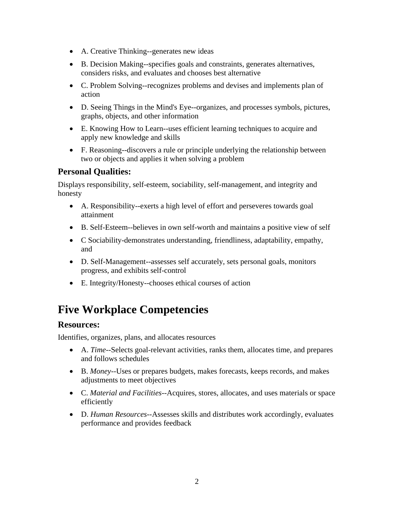- A. Creative Thinking--generates new ideas
- B. Decision Making--specifies goals and constraints, generates alternatives, considers risks, and evaluates and chooses best alternative
- C. Problem Solving--recognizes problems and devises and implements plan of action
- D. Seeing Things in the Mind's Eye--organizes, and processes symbols, pictures, graphs, objects, and other information
- E. Knowing How to Learn--uses efficient learning techniques to acquire and apply new knowledge and skills
- F. Reasoning--discovers a rule or principle underlying the relationship between two or objects and applies it when solving a problem

## **Personal Qualities:**

Displays responsibility, self-esteem, sociability, self-management, and integrity and honesty

- A. Responsibility--exerts a high level of effort and perseveres towards goal attainment
- B. Self-Esteem--believes in own self-worth and maintains a positive view of self
- C Sociability-demonstrates understanding, friendliness, adaptability, empathy, and
- D. Self-Management--assesses self accurately, sets personal goals, monitors progress, and exhibits self-control
- E. Integrity/Honesty--chooses ethical courses of action

# **Five Workplace Competencies**

#### **Resources:**

Identifies, organizes, plans, and allocates resources

- A. *Time*--Selects goal-relevant activities, ranks them, allocates time, and prepares and follows schedules
- B. *Money*--Uses or prepares budgets, makes forecasts, keeps records, and makes adjustments to meet objectives
- C. *Material and Facilities*--Acquires, stores, allocates, and uses materials or space efficiently
- D. *Human Resources*--Assesses skills and distributes work accordingly, evaluates performance and provides feedback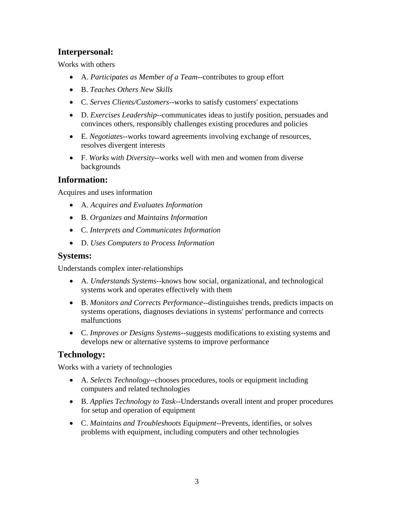### **Interpersonal:**

Works with others

- A. *Participates as Member of a Team*--contributes to group effort
- B. *Teaches Others New Skills*
- C. *Serves Clients/Customers*--works to satisfy customers' expectations
- D. *Exercises Leadership*--communicates ideas to justify position, persuades and convinces others, responsibly challenges existing procedures and policies
- E. *Negotiates*--works toward agreements involving exchange of resources, resolves divergent interests
- F. *Works with Diversity*--works well with men and women from diverse backgrounds

### **Information:**

Acquires and uses information

- A. *Acquires and Evaluates Information*
- B. *Organizes and Maintains Information*
- C. *Interprets and Communicates Information*
- D. *Uses Computers to Process Information*

#### **Systems:**

Understands complex inter-relationships

- A. *Understands Systems*--knows how social, organizational, and technological systems work and operates effectively with them
- B. *Monitors and Corrects Performance*--distinguishes trends, predicts impacts on systems operations, diagnoses deviations in systems' performance and corrects malfunctions
- C. *Improves or Designs Systems*--suggests modifications to existing systems and develops new or alternative systems to improve performance

## **Technology:**

Works with a variety of technologies

- A. *Selects Technology*--chooses procedures, tools or equipment including computers and related technologies
- B. *Applies Technology to Task*--Understands overall intent and proper procedures for setup and operation of equipment
- C. *Maintains and Troubleshoots Equipment*--Prevents, identifies, or solves problems with equipment, including computers and other technologies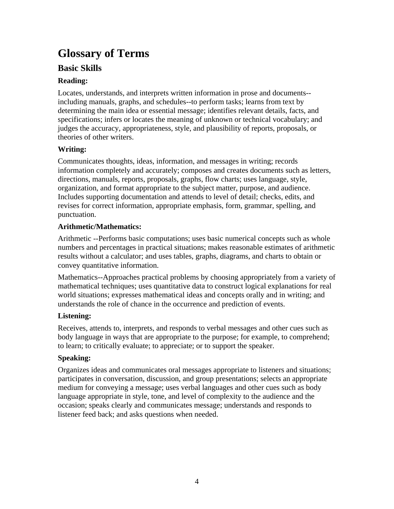# **Glossary of Terms**

### **Basic Skills**

#### **Reading:**

Locates, understands, and interprets written information in prose and documents- including manuals, graphs, and schedules--to perform tasks; learns from text by determining the main idea or essential message; identifies relevant details, facts, and specifications; infers or locates the meaning of unknown or technical vocabulary; and judges the accuracy, appropriateness, style, and plausibility of reports, proposals, or theories of other writers.

#### **Writing:**

Communicates thoughts, ideas, information, and messages in writing; records information completely and accurately; composes and creates documents such as letters, directions, manuals, reports, proposals, graphs, flow charts; uses language, style, organization, and format appropriate to the subject matter, purpose, and audience. Includes supporting documentation and attends to level of detail; checks, edits, and revises for correct information, appropriate emphasis, form, grammar, spelling, and punctuation.

#### **Arithmetic/Mathematics:**

Arithmetic --Performs basic computations; uses basic numerical concepts such as whole numbers and percentages in practical situations; makes reasonable estimates of arithmetic results without a calculator; and uses tables, graphs, diagrams, and charts to obtain or convey quantitative information.

Mathematics--Approaches practical problems by choosing appropriately from a variety of mathematical techniques; uses quantitative data to construct logical explanations for real world situations; expresses mathematical ideas and concepts orally and in writing; and understands the role of chance in the occurrence and prediction of events.

### **Listening:**

Receives, attends to, interprets, and responds to verbal messages and other cues such as body language in ways that are appropriate to the purpose; for example, to comprehend; to learn; to critically evaluate; to appreciate; or to support the speaker.

#### **Speaking:**

Organizes ideas and communicates oral messages appropriate to listeners and situations; participates in conversation, discussion, and group presentations; selects an appropriate medium for conveying a message; uses verbal languages and other cues such as body language appropriate in style, tone, and level of complexity to the audience and the occasion; speaks clearly and communicates message; understands and responds to listener feed back; and asks questions when needed.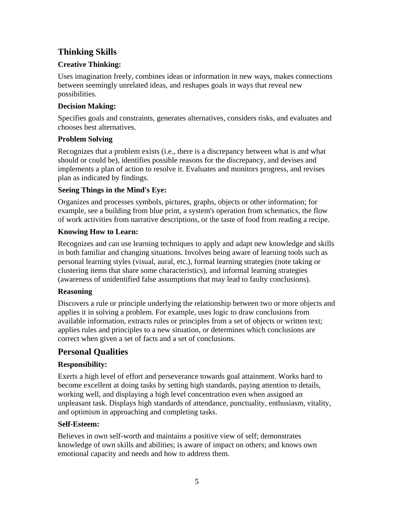## **Thinking Skills**

#### **Creative Thinking:**

Uses imagination freely, combines ideas or information in new ways, makes connections between seemingly unrelated ideas, and reshapes goals in ways that reveal new possibilities.

#### **Decision Making:**

Specifies goals and constraints, generates alternatives, considers risks, and evaluates and chooses best alternatives.

#### **Problem Solving**

Recognizes that a problem exists (i.e., there is a discrepancy between what is and what should or could be), identifies possible reasons for the discrepancy, and devises and implements a plan of action to resolve it. Evaluates and monitors progress, and revises plan as indicated by findings.

#### **Seeing Things in the Mind's Eye:**

Organizes and processes symbols, pictures, graphs, objects or other information; for example, see a building from blue print, a system's operation from schematics, the flow of work activities from narrative descriptions, or the taste of food from reading a recipe.

#### **Knowing How to Learn:**

Recognizes and can use learning techniques to apply and adapt new knowledge and skills in both familiar and changing situations. Involves being aware of learning tools such as personal learning styles (visual, aural, etc.), formal learning strategies (note taking or clustering items that share some characteristics), and informal learning strategies (awareness of unidentified false assumptions that may lead to faulty conclusions).

#### **Reasoning**

Discovers a rule or principle underlying the relationship between two or more objects and applies it in solving a problem. For example, uses logic to draw conclusions from available information, extracts rules or principles from a set of objects or written text; applies rules and principles to a new situation, or determines which conclusions are correct when given a set of facts and a set of conclusions.

## **Personal Qualities**

### **Responsibility:**

Exerts a high level of effort and perseverance towards goal attainment. Works hard to become excellent at doing tasks by setting high standards, paying attention to details, working well, and displaying a high level concentration even when assigned an unpleasant task. Displays high standards of attendance, punctuality, enthusiasm, vitality, and optimism in approaching and completing tasks.

#### **Self-Esteem:**

Believes in own self-worth and maintains a positive view of self; demonstrates knowledge of own skills and abilities; is aware of impact on others; and knows own emotional capacity and needs and how to address them.